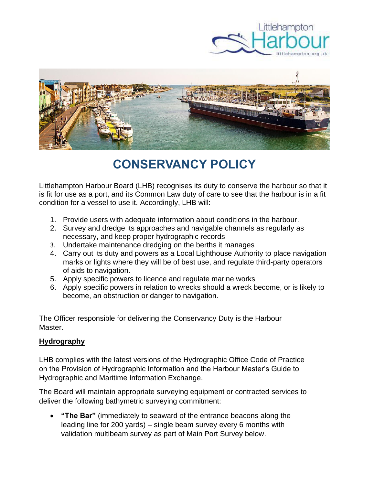



# **CONSERVANCY POLICY**

Littlehampton Harbour Board (LHB) recognises its duty to conserve the harbour so that it is fit for use as a port, and its Common Law duty of care to see that the harbour is in a fit condition for a vessel to use it. Accordingly, LHB will:

- 1. Provide users with adequate information about conditions in the harbour.
- 2. Survey and dredge its approaches and navigable channels as regularly as necessary, and keep proper hydrographic records
- 3. Undertake maintenance dredging on the berths it manages
- 4. Carry out its duty and powers as a Local Lighthouse Authority to place navigation marks or lights where they will be of best use, and regulate third-party operators of aids to navigation.
- 5. Apply specific powers to licence and regulate marine works
- 6. Apply specific powers in relation to wrecks should a wreck become, or is likely to become, an obstruction or danger to navigation.

The Officer responsible for delivering the Conservancy Duty is the Harbour Master.

#### **Hydrography**

LHB complies with the latest versions of the Hydrographic Office Code of Practice on the Provision of Hydrographic Information and the Harbour Master's Guide to Hydrographic and Maritime Information Exchange.

The Board will maintain appropriate surveying equipment or contracted services to deliver the following bathymetric surveying commitment:

• **"The Bar"** (immediately to seaward of the entrance beacons along the leading line for 200 yards) – single beam survey every 6 months with validation multibeam survey as part of Main Port Survey below.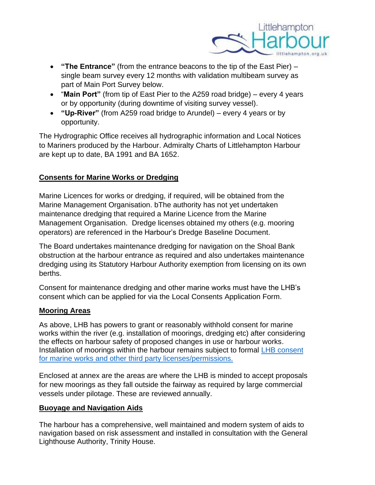

- **"The Entrance"** (from the entrance beacons to the tip of the East Pier) single beam survey every 12 months with validation multibeam survey as part of Main Port Survey below.
- "**Main Port"** (from tip of East Pier to the A259 road bridge) every 4 years or by opportunity (during downtime of visiting survey vessel).
- **"Up-River"** (from A259 road bridge to Arundel) every 4 years or by opportunity.

The Hydrographic Office receives all hydrographic information and Local Notices to Mariners produced by the Harbour. Admiralty Charts of Littlehampton Harbour are kept up to date, BA 1991 and BA 1652.

## **Consents for Marine Works or Dredging**

Marine Licences for works or dredging, if required, will be obtained from the Marine Management Organisation. bThe authority has not yet undertaken maintenance dredging that required a Marine Licence from the Marine Management Organisation. Dredge licenses obtained my others (e.g. mooring operators) are referenced in the Harbour's [Dredge Baseline Document.](https://www.littlehampton.org.uk/wp-content/uploads/2016/10/Littlehampton-Maintenance-Dredge-Protocol-and-Water-Framework-Directive-Compliance-Baseline-Document-FINAL.pdf)

The Board undertakes maintenance dredging for navigation on the Shoal Bank obstruction at the harbour entrance as required and also undertakes maintenance dredging using its Statutory Harbour Authority exemption from licensing on its own berths.

Consent for maintenance dredging and other marine works must have the LHB's consent which can be applied for via the [Local Consents Application Form.](https://www.littlehampton.org.uk/environment/marine-licensing/)

## **Mooring Areas**

As above, LHB has powers to grant or reasonably withhold consent for marine works within the river (e.g. installation of moorings, dredging etc) after considering the effects on harbour safety of proposed changes in use or harbour works. Installation of moorings within the harbour remains subject to formal LHB consent [for marine works and other third party licenses/permissions.](http://www.littlehampton.org.uk/environment/marine-licensing)

Enclosed at annex are the areas are where the LHB is minded to accept proposals for new moorings as they fall outside the fairway as required by large commercial vessels under pilotage. These are reviewed annually.

#### **Buoyage and Navigation Aids**

The harbour has a comprehensive, well maintained and modern system of aids to navigation based on risk assessment and installed in consultation with the General Lighthouse Authority, Trinity House.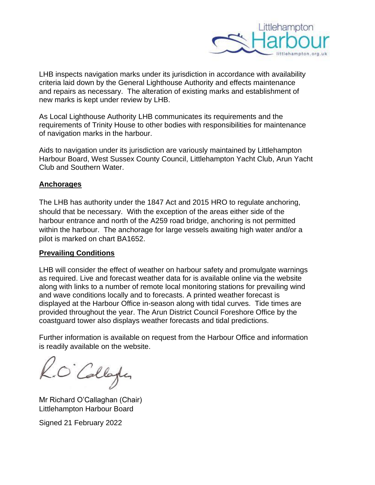

LHB inspects navigation marks under its jurisdiction in accordance with availability criteria laid down by the General Lighthouse Authority and effects maintenance and repairs as necessary. The alteration of existing marks and establishment of new marks is kept under review by LHB.

As Local Lighthouse Authority LHB communicates its requirements and the requirements of Trinity House to other bodies with responsibilities for maintenance of navigation marks in the harbour.

Aids to navigation under its jurisdiction are variously maintained by Littlehampton Harbour Board, West Sussex County Council, Littlehampton Yacht Club, Arun Yacht Club and Southern Water.

#### **Anchorages**

The LHB has authority under the 1847 Act and 2015 HRO to regulate anchoring, should that be necessary. With the exception of the areas either side of the harbour entrance and north of the A259 road bridge, anchoring is not permitted within the harbour. The anchorage for large vessels awaiting high water and/or a pilot is marked on chart BA1652.

#### **Prevailing Conditions**

LHB will consider the effect of weather on harbour safety and promulgate warnings as required. Live and forecast weather data for is available online via the website along with links to a number of remote local monitoring stations for prevailing wind and wave conditions locally and to forecasts. A printed weather forecast is displayed at the Harbour Office in-season along with tidal curves. Tide times are provided throughout the year. The Arun District Council Foreshore Office by the coastguard tower also displays weather forecasts and tidal predictions.

Further information is available on request from the Harbour Office and information is readily available on the website.

O'Collage

Mr Richard O'Callaghan (Chair) Littlehampton Harbour Board

Signed 21 February 2022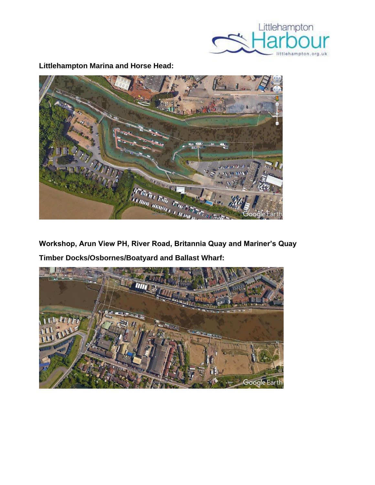

**BACKBLAN** an < 

**Littlehampton Marina and Horse Head:**

**Workshop, Arun View PH, River Road, Britannia Quay and Mariner's Quay Timber Docks/Osbornes/Boatyard and Ballast Wharf:**